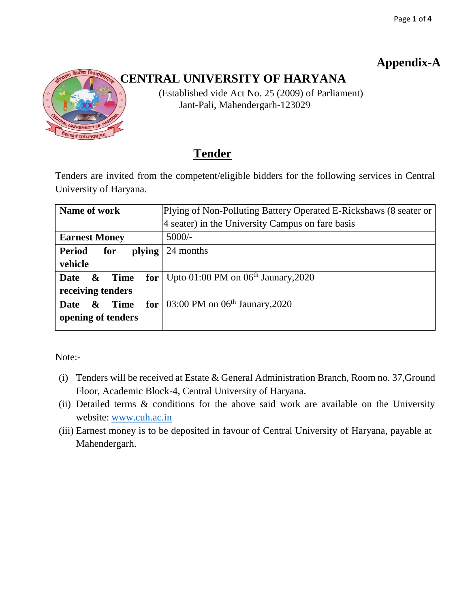# **Appendix-A**



# **CENTRAL UNIVERSITY OF HARYANA**

 (Established vide Act No. 25 (2009) of Parliament) Jant-Pali, Mahendergarh-123029

# **Tender**

Tenders are invited from the competent/eligible bidders for the following services in Central University of Haryana.

| Name of work                                        | Plying of Non-Polluting Battery Operated E-Rickshaws (8 seater or |  |
|-----------------------------------------------------|-------------------------------------------------------------------|--|
|                                                     | 4 seater) in the University Campus on fare basis                  |  |
| <b>Earnest Money</b>                                | $5000/-$                                                          |  |
| <b>Period</b><br>plying<br>for                      | 24 months                                                         |  |
| vehicle                                             |                                                                   |  |
| Time<br>Date<br>$\boldsymbol{\alpha}$               | for   Upto 01:00 PM on $06th$ Jaunary, 2020                       |  |
| receiving tenders                                   |                                                                   |  |
| <b>Date</b><br><b>Time</b><br>$\boldsymbol{\alpha}$ | for $\vert$ 03:00 PM on 06 <sup>th</sup> Jaunary, 2020            |  |
| opening of tenders                                  |                                                                   |  |
|                                                     |                                                                   |  |

Note:-

- (i) Tenders will be received at Estate & General Administration Branch, Room no. 37,Ground Floor, Academic Block-4, Central University of Haryana.
- (ii) Detailed terms & conditions for the above said work are available on the University website: [www.cuh.ac.in](http://www.cuh.ac.in/)
- (iii) Earnest money is to be deposited in favour of Central University of Haryana, payable at Mahendergarh.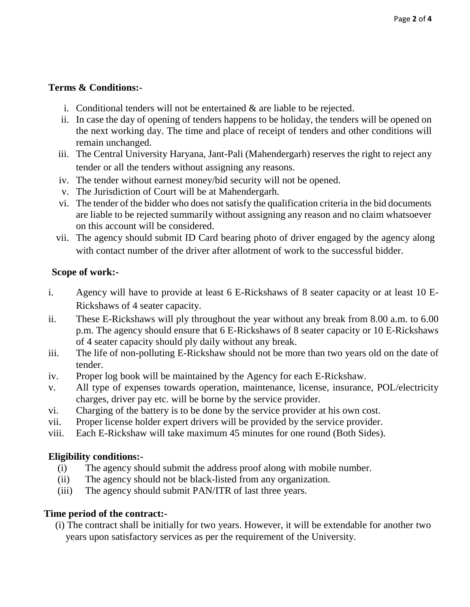### **Terms & Conditions:-**

- i. Conditional tenders will not be entertained & are liable to be rejected.
- ii. In case the day of opening of tenders happens to be holiday, the tenders will be opened on the next working day. The time and place of receipt of tenders and other conditions will remain unchanged.
- iii. The Central University Haryana, Jant-Pali (Mahendergarh) reserves the right to reject any tender or all the tenders without assigning any reasons.
- iv. The tender without earnest money/bid security will not be opened.
- v. The Jurisdiction of Court will be at Mahendergarh.
- vi. The tender of the bidder who does not satisfy the qualification criteria in the bid documents are liable to be rejected summarily without assigning any reason and no claim whatsoever on this account will be considered.
- vii. The agency should submit ID Card bearing photo of driver engaged by the agency along with contact number of the driver after allotment of work to the successful bidder.

#### **Scope of work:-**

- i. Agency will have to provide at least 6 E-Rickshaws of 8 seater capacity or at least 10 E-Rickshaws of 4 seater capacity.
- ii. These E-Rickshaws will ply throughout the year without any break from 8.00 a.m. to 6.00 p.m. The agency should ensure that 6 E-Rickshaws of 8 seater capacity or 10 E-Rickshaws of 4 seater capacity should ply daily without any break.
- iii. The life of non-polluting E-Rickshaw should not be more than two years old on the date of tender.
- iv. Proper log book will be maintained by the Agency for each E-Rickshaw.
- v. All type of expenses towards operation, maintenance, license, insurance, POL/electricity charges, driver pay etc. will be borne by the service provider.
- vi. Charging of the battery is to be done by the service provider at his own cost.
- vii. Proper license holder expert drivers will be provided by the service provider.
- viii. Each E-Rickshaw will take maximum 45 minutes for one round (Both Sides).

### **Eligibility conditions:-**

- (i) The agency should submit the address proof along with mobile number.
- (ii) The agency should not be black-listed from any organization.
- (iii) The agency should submit PAN/ITR of last three years.

### **Time period of the contract:-**

(i) The contract shall be initially for two years. However, it will be extendable for another two years upon satisfactory services as per the requirement of the University.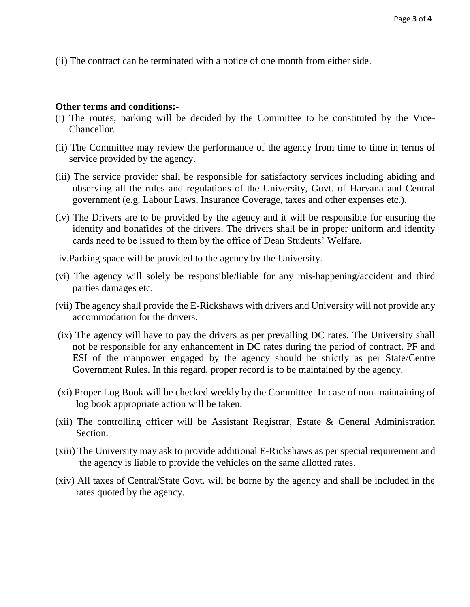(ii) The contract can be terminated with a notice of one month from either side.

#### **Other terms and conditions:-**

- (i) The routes, parking will be decided by the Committee to be constituted by the Vice-Chancellor.
- (ii) The Committee may review the performance of the agency from time to time in terms of service provided by the agency.
- (iii) The service provider shall be responsible for satisfactory services including abiding and observing all the rules and regulations of the University, Govt. of Haryana and Central government (e.g. Labour Laws, Insurance Coverage, taxes and other expenses etc.).
- (iv) The Drivers are to be provided by the agency and it will be responsible for ensuring the identity and bonafides of the drivers. The drivers shall be in proper uniform and identity cards need to be issued to them by the office of Dean Students' Welfare.
- iv.Parking space will be provided to the agency by the University.
- (vi) The agency will solely be responsible/liable for any mis-happening/accident and third parties damages etc.
- (vii) The agency shall provide the E-Rickshaws with drivers and University will not provide any accommodation for the drivers.
- (ix) The agency will have to pay the drivers as per prevailing DC rates. The University shall not be responsible for any enhancement in DC rates during the period of contract. PF and ESI of the manpower engaged by the agency should be strictly as per State/Centre Government Rules. In this regard, proper record is to be maintained by the agency.
- (xi) Proper Log Book will be checked weekly by the Committee. In case of non-maintaining of log book appropriate action will be taken.
- (xii) The controlling officer will be Assistant Registrar, Estate & General Administration Section.
- (xiii) The University may ask to provide additional E-Rickshaws as per special requirement and the agency is liable to provide the vehicles on the same allotted rates.
- (xiv) All taxes of Central/State Govt. will be borne by the agency and shall be included in the rates quoted by the agency.